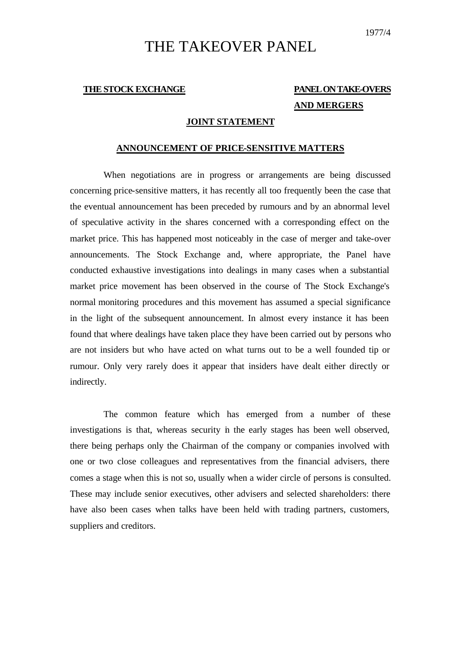# THE TAKEOVER PANEL

## **THE STOCK EXCHANGE PANEL ON TAKE-OVERS AND MERGERS**

#### **JOINT STATEMENT**

#### **ANNOUNCEMENT OF PRICE-SENSITIVE MATTERS**

When negotiations are in progress or arrangements are being discussed concerning price-sensitive matters, it has recently all too frequently been the case that the eventual announcement has been preceded by rumours and by an abnormal level of speculative activity in the shares concerned with a corresponding effect on the market price. This has happened most noticeably in the case of merger and take-over announcements. The Stock Exchange and, where appropriate, the Panel have conducted exhaustive investigations into dealings in many cases when a substantial market price movement has been observed in the course of The Stock Exchange's normal monitoring procedures and this movement has assumed a special significance in the light of the subsequent announcement. In almost every instance it has been found that where dealings have taken place they have been carried out by persons who are not insiders but who have acted on what turns out to be a well founded tip or rumour. Only very rarely does it appear that insiders have dealt either directly or indirectly.

The common feature which has emerged from a number of these investigations is that, whereas security in the early stages has been well observed, there being perhaps only the Chairman of the company or companies involved with one or two close colleagues and representatives from the financial advisers, there comes a stage when this is not so, usually when a wider circle of persons is consulted. These may include senior executives, other advisers and selected shareholders: there have also been cases when talks have been held with trading partners, customers, suppliers and creditors.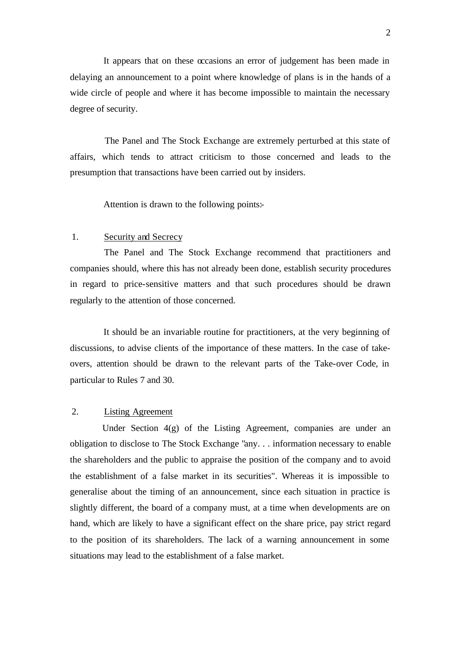It appears that on these occasions an error of judgement has been made in delaying an announcement to a point where knowledge of plans is in the hands of a wide circle of people and where it has become impossible to maintain the necessary degree of security.

The Panel and The Stock Exchange are extremely perturbed at this state of affairs, which tends to attract criticism to those concerned and leads to the presumption that transactions have been carried out by insiders.

Attention is drawn to the following points:-

#### 1. Security and Secrecy

The Panel and The Stock Exchange recommend that practitioners and companies should, where this has not already been done, establish security procedures in regard to price-sensitive matters and that such procedures should be drawn regularly to the attention of those concerned.

It should be an invariable routine for practitioners, at the very beginning of discussions, to advise clients of the importance of these matters. In the case of takeovers, attention should be drawn to the relevant parts of the Take-over Code, in particular to Rules 7 and 30.

### 2. Listing Agreement

Under Section 4(g) of the Listing Agreement, companies are under an obligation to disclose to The Stock Exchange "any. . . information necessary to enable the shareholders and the public to appraise the position of the company and to avoid the establishment of a false market in its securities". Whereas it is impossible to generalise about the timing of an announcement, since each situation in practice is slightly different, the board of a company must, at a time when developments are on hand, which are likely to have a significant effect on the share price, pay strict regard to the position of its shareholders. The lack of a warning announcement in some situations may lead to the establishment of a false market.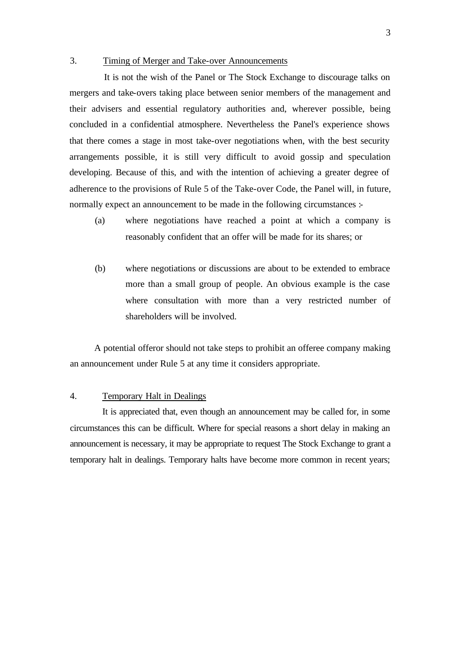#### 3. Timing of Merger and Take-over Announcements

It is not the wish of the Panel or The Stock Exchange to discourage talks on mergers and take-overs taking place between senior members of the management and their advisers and essential regulatory authorities and, wherever possible, being concluded in a confidential atmosphere. Nevertheless the Panel's experience shows that there comes a stage in most take-over negotiations when, with the best security arrangements possible, it is still very difficult to avoid gossip and speculation developing. Because of this, and with the intention of achieving a greater degree of adherence to the provisions of Rule 5 of the Take-over Code, the Panel will, in future, normally expect an announcement to be made in the following circumstances :-

- (a) where negotiations have reached a point at which a company is reasonably confident that an offer will be made for its shares; or
- (b) where negotiations or discussions are about to be extended to embrace more than a small group of people. An obvious example is the case where consultation with more than a very restricted number of shareholders will be involved.

A potential offeror should not take steps to prohibit an offeree company making an announcement under Rule 5 at any time it considers appropriate.

#### 4. Temporary Halt in Dealings

It is appreciated that, even though an announcement may be called for, in some circumstances this can be difficult. Where for special reasons a short delay in making an announcement is necessary, it may be appropriate to request The Stock Exchange to grant a temporary halt in dealings. Temporary halts have become more common in recent years;